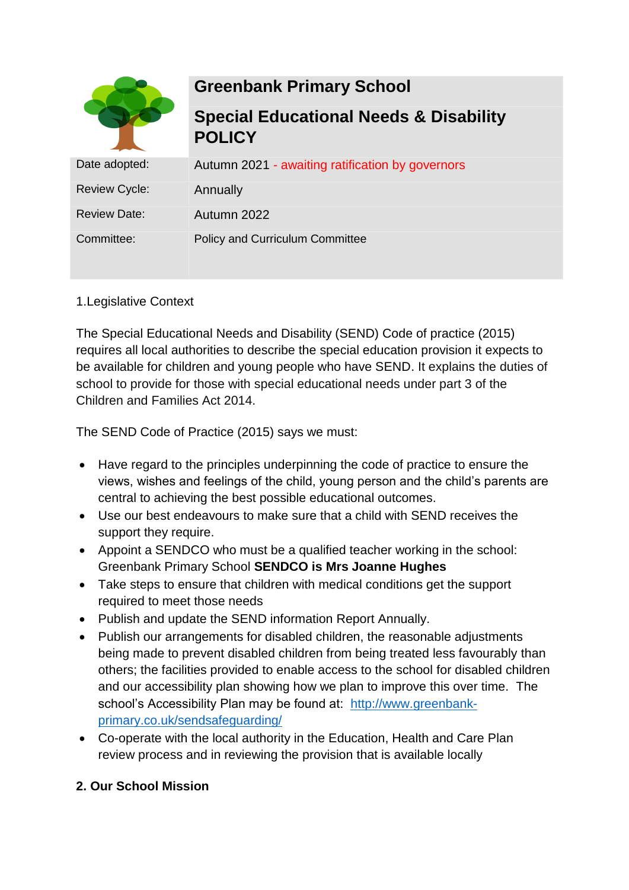

# **Greenbank Primary School**

**Special Educational Needs & Disability POLICY**

| Date adopted:        | Autumn 2021 - awaiting ratification by governors |
|----------------------|--------------------------------------------------|
| <b>Review Cycle:</b> | Annually                                         |
| <b>Review Date:</b>  | Autumn 2022                                      |
| Committee:           | <b>Policy and Curriculum Committee</b>           |

# 1.Legislative Context

The Special Educational Needs and Disability (SEND) Code of practice (2015) requires all local authorities to describe the special education provision it expects to be available for children and young people who have SEND. It explains the duties of school to provide for those with special educational needs under part 3 of the Children and Families Act 2014.

The SEND Code of Practice (2015) says we must:

- Have regard to the principles underpinning the code of practice to ensure the views, wishes and feelings of the child, young person and the child's parents are central to achieving the best possible educational outcomes.
- Use our best endeavours to make sure that a child with SEND receives the support they require.
- Appoint a SENDCO who must be a qualified teacher working in the school: Greenbank Primary School **SENDCO is Mrs Joanne Hughes**
- Take steps to ensure that children with medical conditions get the support required to meet those needs
- Publish and update the SEND information Report Annually.
- Publish our arrangements for disabled children, the reasonable adjustments being made to prevent disabled children from being treated less favourably than others; the facilities provided to enable access to the school for disabled children and our accessibility plan showing how we plan to improve this over time. The school's Accessibility Plan may be found at: [http://www.greenbank](http://www.greenbank-primary.co.uk/sendsafeguarding/)[primary.co.uk/sendsafeguarding/](http://www.greenbank-primary.co.uk/sendsafeguarding/)
- Co-operate with the local authority in the Education, Health and Care Plan review process and in reviewing the provision that is available locally

# **2. Our School Mission**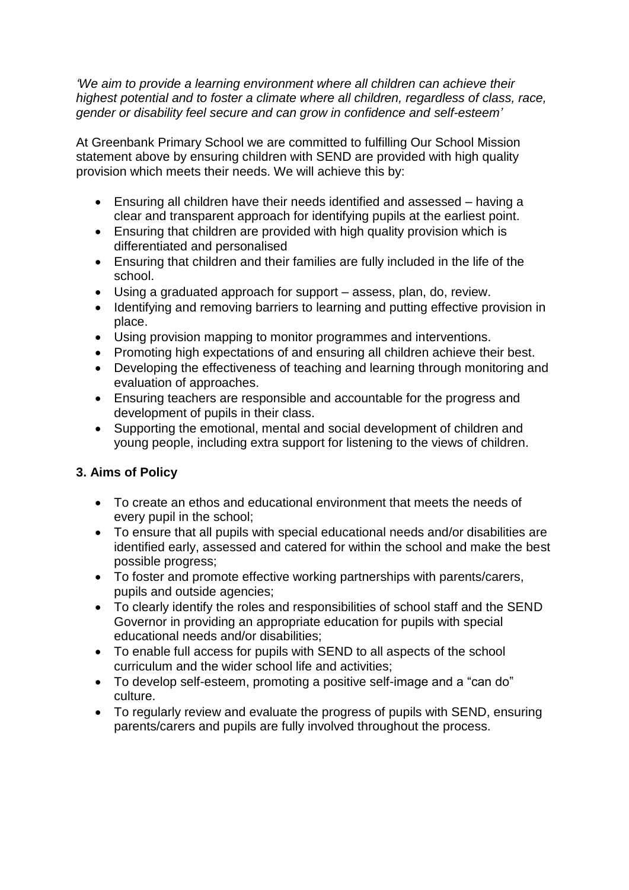*'We aim to provide a learning environment where all children can achieve their highest potential and to foster a climate where all children, regardless of class, race, gender or disability feel secure and can grow in confidence and self-esteem'*

At Greenbank Primary School we are committed to fulfilling Our School Mission statement above by ensuring children with SEND are provided with high quality provision which meets their needs. We will achieve this by:

- Ensuring all children have their needs identified and assessed having a clear and transparent approach for identifying pupils at the earliest point.
- Ensuring that children are provided with high quality provision which is differentiated and personalised
- Ensuring that children and their families are fully included in the life of the school.
- Using a graduated approach for support assess, plan, do, review.
- Identifying and removing barriers to learning and putting effective provision in place.
- Using provision mapping to monitor programmes and interventions.
- Promoting high expectations of and ensuring all children achieve their best.
- Developing the effectiveness of teaching and learning through monitoring and evaluation of approaches.
- Ensuring teachers are responsible and accountable for the progress and development of pupils in their class.
- Supporting the emotional, mental and social development of children and young people, including extra support for listening to the views of children.

## **3. Aims of Policy**

- To create an ethos and educational environment that meets the needs of every pupil in the school;
- To ensure that all pupils with special educational needs and/or disabilities are identified early, assessed and catered for within the school and make the best possible progress;
- To foster and promote effective working partnerships with parents/carers, pupils and outside agencies;
- To clearly identify the roles and responsibilities of school staff and the SEND Governor in providing an appropriate education for pupils with special educational needs and/or disabilities;
- To enable full access for pupils with SEND to all aspects of the school curriculum and the wider school life and activities;
- To develop self-esteem, promoting a positive self-image and a "can do" culture.
- To regularly review and evaluate the progress of pupils with SEND, ensuring parents/carers and pupils are fully involved throughout the process.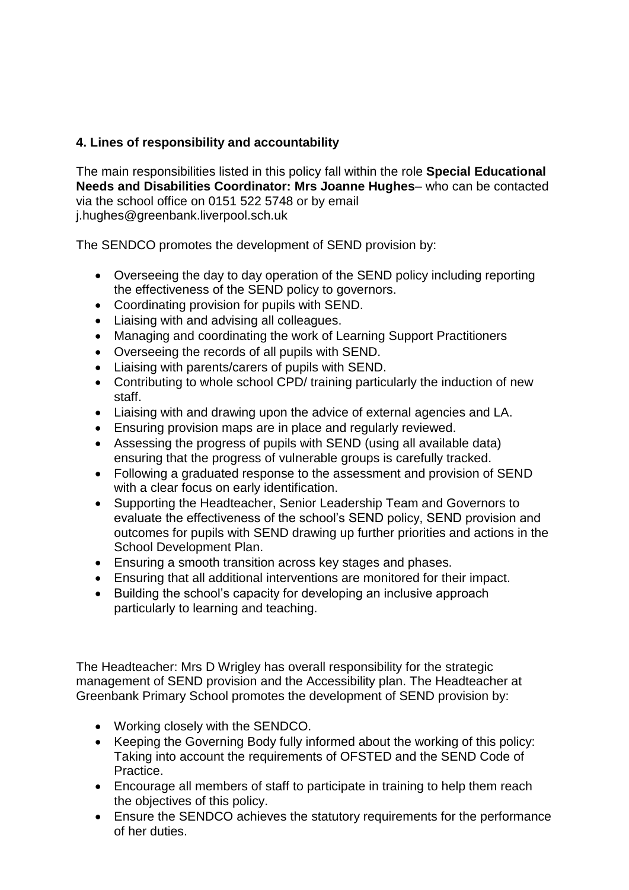# **4. Lines of responsibility and accountability**

The main responsibilities listed in this policy fall within the role **Special Educational Needs and Disabilities Coordinator: Mrs Joanne Hughes**– who can be contacted via the school office on 0151 522 5748 or by email j.hughes@greenbank.liverpool.sch.uk

The SENDCO promotes the development of SEND provision by:

- Overseeing the day to day operation of the SEND policy including reporting the effectiveness of the SEND policy to governors.
- Coordinating provision for pupils with SEND.
- Liaising with and advising all colleagues.
- Managing and coordinating the work of Learning Support Practitioners
- Overseeing the records of all pupils with SEND.
- Liaising with parents/carers of pupils with SEND.
- Contributing to whole school CPD/ training particularly the induction of new staff.
- Liaising with and drawing upon the advice of external agencies and LA.
- Ensuring provision maps are in place and regularly reviewed.
- Assessing the progress of pupils with SEND (using all available data) ensuring that the progress of vulnerable groups is carefully tracked.
- Following a graduated response to the assessment and provision of SEND with a clear focus on early identification.
- Supporting the Headteacher, Senior Leadership Team and Governors to evaluate the effectiveness of the school's SEND policy, SEND provision and outcomes for pupils with SEND drawing up further priorities and actions in the School Development Plan.
- Ensuring a smooth transition across key stages and phases.
- Ensuring that all additional interventions are monitored for their impact.
- Building the school's capacity for developing an inclusive approach particularly to learning and teaching.

The Headteacher: Mrs D Wrigley has overall responsibility for the strategic management of SEND provision and the Accessibility plan. The Headteacher at Greenbank Primary School promotes the development of SEND provision by:

- Working closely with the SENDCO.
- Keeping the Governing Body fully informed about the working of this policy: Taking into account the requirements of OFSTED and the SEND Code of Practice.
- Encourage all members of staff to participate in training to help them reach the objectives of this policy.
- Ensure the SENDCO achieves the statutory requirements for the performance of her duties.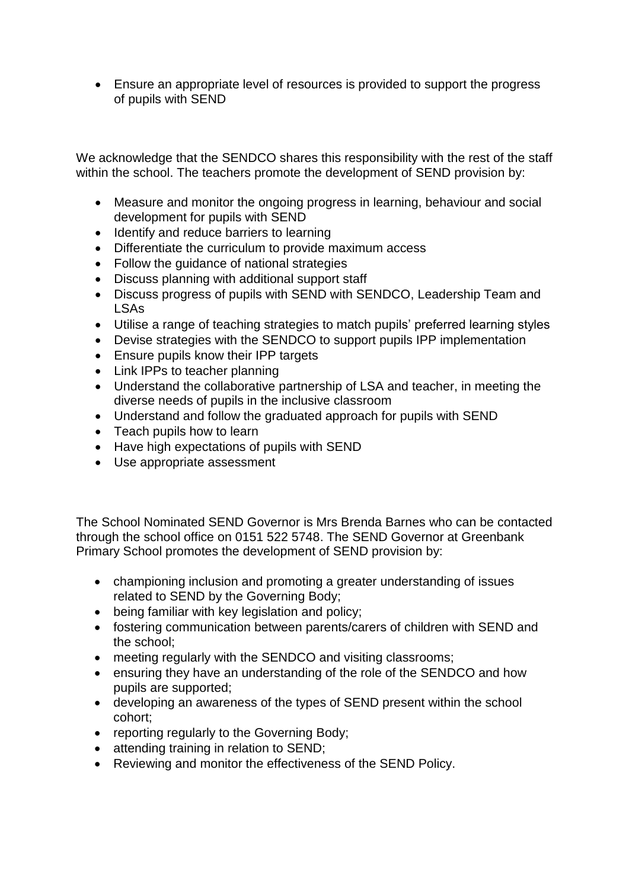• Ensure an appropriate level of resources is provided to support the progress of pupils with SEND

We acknowledge that the SENDCO shares this responsibility with the rest of the staff within the school. The teachers promote the development of SEND provision by:

- Measure and monitor the ongoing progress in learning, behaviour and social development for pupils with SEND
- Identify and reduce barriers to learning
- Differentiate the curriculum to provide maximum access
- Follow the guidance of national strategies
- Discuss planning with additional support staff
- Discuss progress of pupils with SEND with SENDCO, Leadership Team and LSAs
- Utilise a range of teaching strategies to match pupils' preferred learning styles
- Devise strategies with the SENDCO to support pupils IPP implementation
- Ensure pupils know their IPP targets
- Link IPPs to teacher planning
- Understand the collaborative partnership of LSA and teacher, in meeting the diverse needs of pupils in the inclusive classroom
- Understand and follow the graduated approach for pupils with SEND
- Teach pupils how to learn
- Have high expectations of pupils with SEND
- Use appropriate assessment

The School Nominated SEND Governor is Mrs Brenda Barnes who can be contacted through the school office on 0151 522 5748. The SEND Governor at Greenbank Primary School promotes the development of SEND provision by:

- championing inclusion and promoting a greater understanding of issues related to SEND by the Governing Body;
- being familiar with key legislation and policy;
- fostering communication between parents/carers of children with SEND and the school;
- meeting regularly with the SENDCO and visiting classrooms;
- ensuring they have an understanding of the role of the SENDCO and how pupils are supported;
- developing an awareness of the types of SEND present within the school cohort;
- reporting regularly to the Governing Body;
- attending training in relation to SEND;
- Reviewing and monitor the effectiveness of the SEND Policy.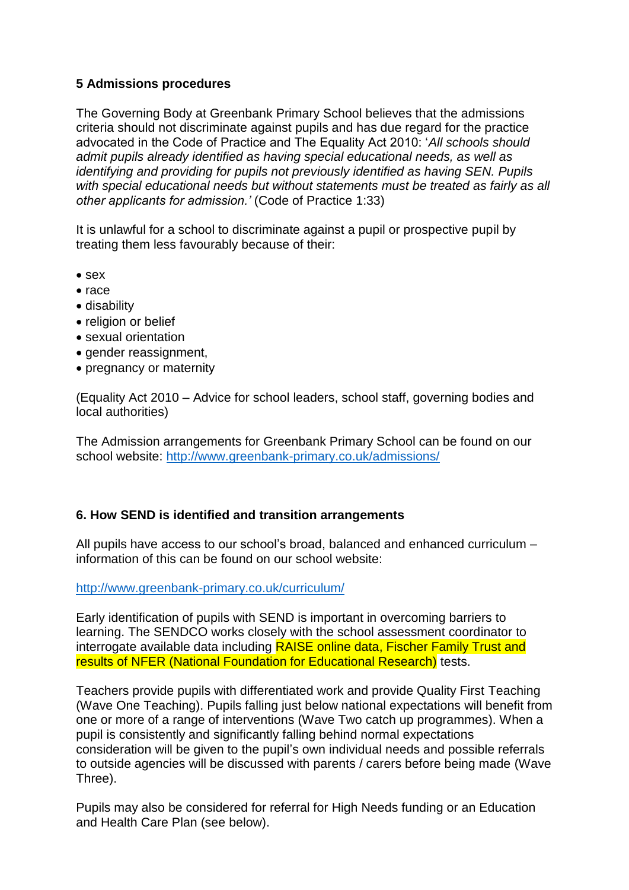## **5 Admissions procedures**

The Governing Body at Greenbank Primary School believes that the admissions criteria should not discriminate against pupils and has due regard for the practice advocated in the Code of Practice and The Equality Act 2010: '*All schools should admit pupils already identified as having special educational needs, as well as identifying and providing for pupils not previously identified as having SEN. Pupils with special educational needs but without statements must be treated as fairly as all other applicants for admission.'* (Code of Practice 1:33)

It is unlawful for a school to discriminate against a pupil or prospective pupil by treating them less favourably because of their:

- sex
- race
- disability
- religion or belief
- sexual orientation
- gender reassignment,
- pregnancy or maternity

(Equality Act 2010 – Advice for school leaders, school staff, governing bodies and local authorities)

The Admission arrangements for Greenbank Primary School can be found on our school website:<http://www.greenbank-primary.co.uk/admissions/>

## **6. How SEND is identified and transition arrangements**

All pupils have access to our school's broad, balanced and enhanced curriculum – information of this can be found on our school website:

<http://www.greenbank-primary.co.uk/curriculum/>

Early identification of pupils with SEND is important in overcoming barriers to learning. The SENDCO works closely with the school assessment coordinator to interrogate available data including RAISE online data, Fischer Family Trust and results of NFER (National Foundation for Educational Research) tests.

Teachers provide pupils with differentiated work and provide Quality First Teaching (Wave One Teaching). Pupils falling just below national expectations will benefit from one or more of a range of interventions (Wave Two catch up programmes). When a pupil is consistently and significantly falling behind normal expectations consideration will be given to the pupil's own individual needs and possible referrals to outside agencies will be discussed with parents / carers before being made (Wave Three).

Pupils may also be considered for referral for High Needs funding or an Education and Health Care Plan (see below).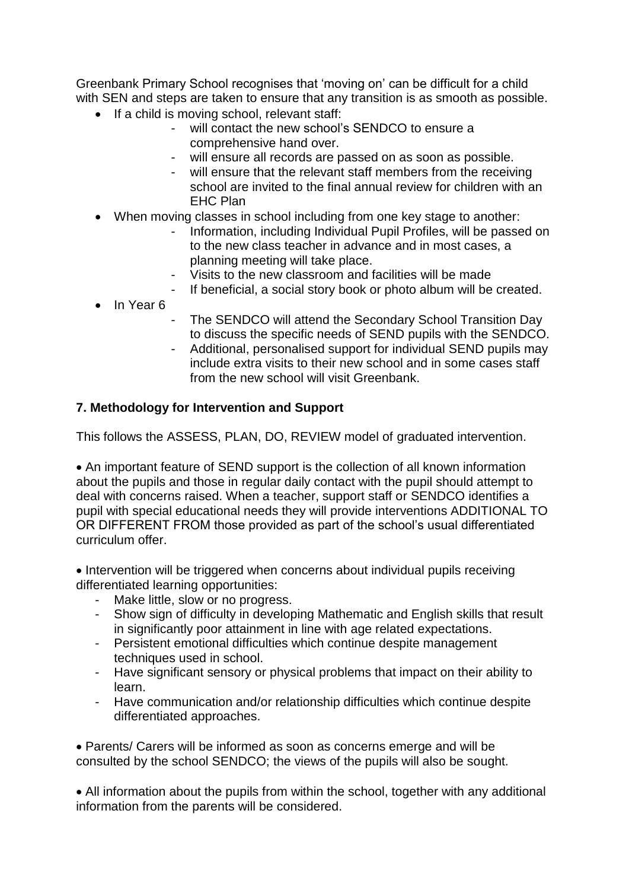Greenbank Primary School recognises that 'moving on' can be difficult for a child with SEN and steps are taken to ensure that any transition is as smooth as possible.

- If a child is moving school, relevant staff:
	- will contact the new school's SENDCO to ensure a comprehensive hand over.
	- will ensure all records are passed on as soon as possible.
	- will ensure that the relevant staff members from the receiving school are invited to the final annual review for children with an EHC Plan
- When moving classes in school including from one key stage to another:
	- Information, including Individual Pupil Profiles, will be passed on to the new class teacher in advance and in most cases, a planning meeting will take place.
	- Visits to the new classroom and facilities will be made
	- If beneficial, a social story book or photo album will be created.
- In Year 6
- The SENDCO will attend the Secondary School Transition Day to discuss the specific needs of SEND pupils with the SENDCO.
- Additional, personalised support for individual SEND pupils may include extra visits to their new school and in some cases staff from the new school will visit Greenbank.

## **7. Methodology for Intervention and Support**

This follows the ASSESS, PLAN, DO, REVIEW model of graduated intervention.

• An important feature of SEND support is the collection of all known information about the pupils and those in regular daily contact with the pupil should attempt to deal with concerns raised. When a teacher, support staff or SENDCO identifies a pupil with special educational needs they will provide interventions ADDITIONAL TO OR DIFFERENT FROM those provided as part of the school's usual differentiated curriculum offer.

• Intervention will be triggered when concerns about individual pupils receiving differentiated learning opportunities:

- Make little, slow or no progress.
- Show sign of difficulty in developing Mathematic and English skills that result in significantly poor attainment in line with age related expectations.
- Persistent emotional difficulties which continue despite management techniques used in school.
- Have significant sensory or physical problems that impact on their ability to learn.
- Have communication and/or relationship difficulties which continue despite differentiated approaches.

• Parents/ Carers will be informed as soon as concerns emerge and will be consulted by the school SENDCO; the views of the pupils will also be sought.

• All information about the pupils from within the school, together with any additional information from the parents will be considered.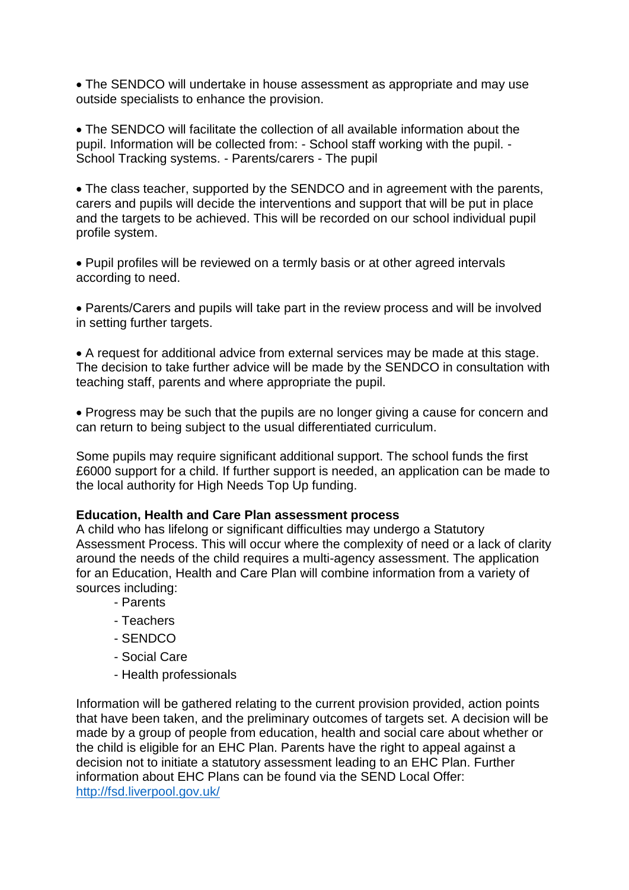• The SENDCO will undertake in house assessment as appropriate and may use outside specialists to enhance the provision.

• The SENDCO will facilitate the collection of all available information about the pupil. Information will be collected from: - School staff working with the pupil. - School Tracking systems. - Parents/carers - The pupil

• The class teacher, supported by the SENDCO and in agreement with the parents, carers and pupils will decide the interventions and support that will be put in place and the targets to be achieved. This will be recorded on our school individual pupil profile system.

• Pupil profiles will be reviewed on a termly basis or at other agreed intervals according to need.

• Parents/Carers and pupils will take part in the review process and will be involved in setting further targets.

• A request for additional advice from external services may be made at this stage. The decision to take further advice will be made by the SENDCO in consultation with teaching staff, parents and where appropriate the pupil.

• Progress may be such that the pupils are no longer giving a cause for concern and can return to being subject to the usual differentiated curriculum.

Some pupils may require significant additional support. The school funds the first £6000 support for a child. If further support is needed, an application can be made to the local authority for High Needs Top Up funding.

#### **Education, Health and Care Plan assessment process**

A child who has lifelong or significant difficulties may undergo a Statutory Assessment Process. This will occur where the complexity of need or a lack of clarity around the needs of the child requires a multi-agency assessment. The application for an Education, Health and Care Plan will combine information from a variety of sources including:

- Parents
- Teachers
- SENDCO
- Social Care
- Health professionals

Information will be gathered relating to the current provision provided, action points that have been taken, and the preliminary outcomes of targets set. A decision will be made by a group of people from education, health and social care about whether or the child is eligible for an EHC Plan. Parents have the right to appeal against a decision not to initiate a statutory assessment leading to an EHC Plan. Further information about EHC Plans can be found via the SEND Local Offer: <http://fsd.liverpool.gov.uk/>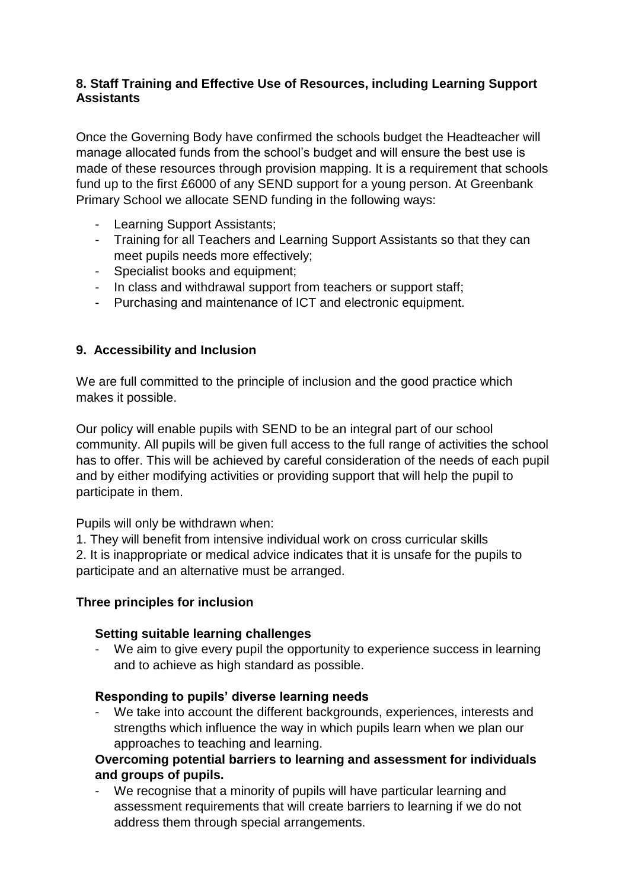## **8. Staff Training and Effective Use of Resources, including Learning Support Assistants**

Once the Governing Body have confirmed the schools budget the Headteacher will manage allocated funds from the school's budget and will ensure the best use is made of these resources through provision mapping. It is a requirement that schools fund up to the first £6000 of any SEND support for a young person. At Greenbank Primary School we allocate SEND funding in the following ways:

- Learning Support Assistants;
- Training for all Teachers and Learning Support Assistants so that they can meet pupils needs more effectively;
- Specialist books and equipment;
- In class and withdrawal support from teachers or support staff;
- Purchasing and maintenance of ICT and electronic equipment.

## **9. Accessibility and Inclusion**

We are full committed to the principle of inclusion and the good practice which makes it possible.

Our policy will enable pupils with SEND to be an integral part of our school community. All pupils will be given full access to the full range of activities the school has to offer. This will be achieved by careful consideration of the needs of each pupil and by either modifying activities or providing support that will help the pupil to participate in them.

Pupils will only be withdrawn when:

1. They will benefit from intensive individual work on cross curricular skills 2. It is inappropriate or medical advice indicates that it is unsafe for the pupils to participate and an alternative must be arranged.

## **Three principles for inclusion**

#### **Setting suitable learning challenges**

- We aim to give every pupil the opportunity to experience success in learning and to achieve as high standard as possible.

#### **Responding to pupils' diverse learning needs**

We take into account the different backgrounds, experiences, interests and strengths which influence the way in which pupils learn when we plan our approaches to teaching and learning.

#### **Overcoming potential barriers to learning and assessment for individuals and groups of pupils.**

- We recognise that a minority of pupils will have particular learning and assessment requirements that will create barriers to learning if we do not address them through special arrangements.